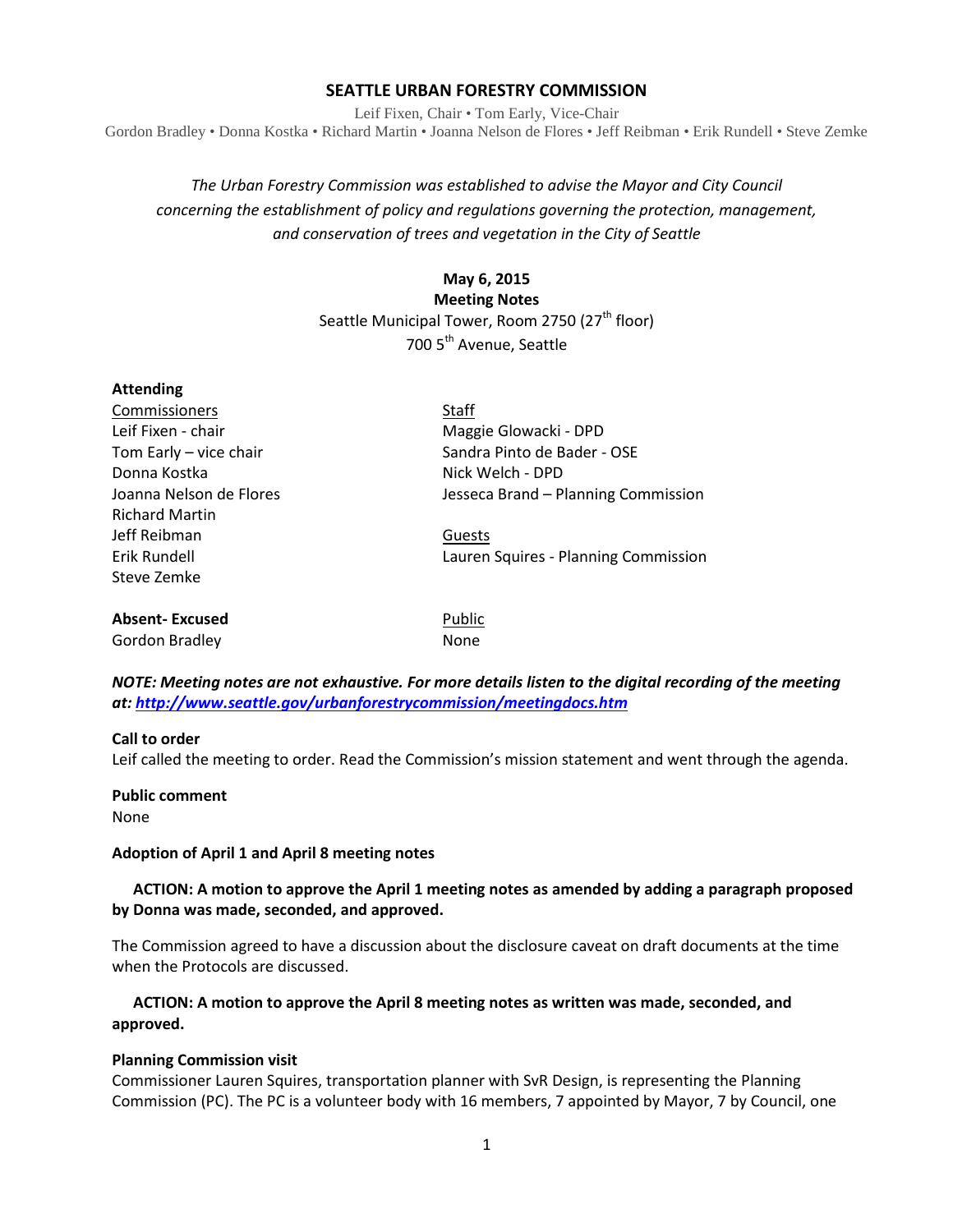#### **SEATTLE URBAN FORESTRY COMMISSION**

Leif Fixen, Chair • Tom Early, Vice-Chair Gordon Bradley • Donna Kostka • Richard Martin • Joanna Nelson de Flores • Jeff Reibman • Erik Rundell • Steve Zemke

# *The Urban Forestry Commission was established to advise the Mayor and City Council concerning the establishment of policy and regulations governing the protection, management, and conservation of trees and vegetation in the City of Seattle*

## **May 6, 2015**

**Meeting Notes** Seattle Municipal Tower, Room 2750 (27<sup>th</sup> floor) 700 5th Avenue, Seattle

| <b>Attending</b>        |                                      |
|-------------------------|--------------------------------------|
| Commissioners           | Staff                                |
| Leif Fixen - chair      | Maggie Glowacki - DPD                |
| Tom Early - vice chair  | Sandra Pinto de Bader - OSE          |
| Donna Kostka            | Nick Welch - DPD                     |
| Joanna Nelson de Flores | Jesseca Brand - Planning Commission  |
| <b>Richard Martin</b>   |                                      |
| Jeff Reibman            | Guests                               |
| Frik Rundell            | Lauren Squires - Planning Commission |
| Steve Zemke             |                                      |
| <b>Absent-Excused</b>   | Public                               |
| Gordon Bradley          | None                                 |

*NOTE: Meeting notes are not exhaustive. For more details listen to the digital recording of the meeting at:<http://www.seattle.gov/urbanforestrycommission/meetingdocs.htm>*

#### **Call to order**

Leif called the meeting to order. Read the Commission's mission statement and went through the agenda.

**Public comment** None

#### **Adoption of April 1 and April 8 meeting notes**

#### **ACTION: A motion to approve the April 1 meeting notes as amended by adding a paragraph proposed by Donna was made, seconded, and approved.**

The Commission agreed to have a discussion about the disclosure caveat on draft documents at the time when the Protocols are discussed.

#### **ACTION: A motion to approve the April 8 meeting notes as written was made, seconded, and approved.**

#### **Planning Commission visit**

Commissioner Lauren Squires, transportation planner with SvR Design, is representing the Planning Commission (PC). The PC is a volunteer body with 16 members, 7 appointed by Mayor, 7 by Council, one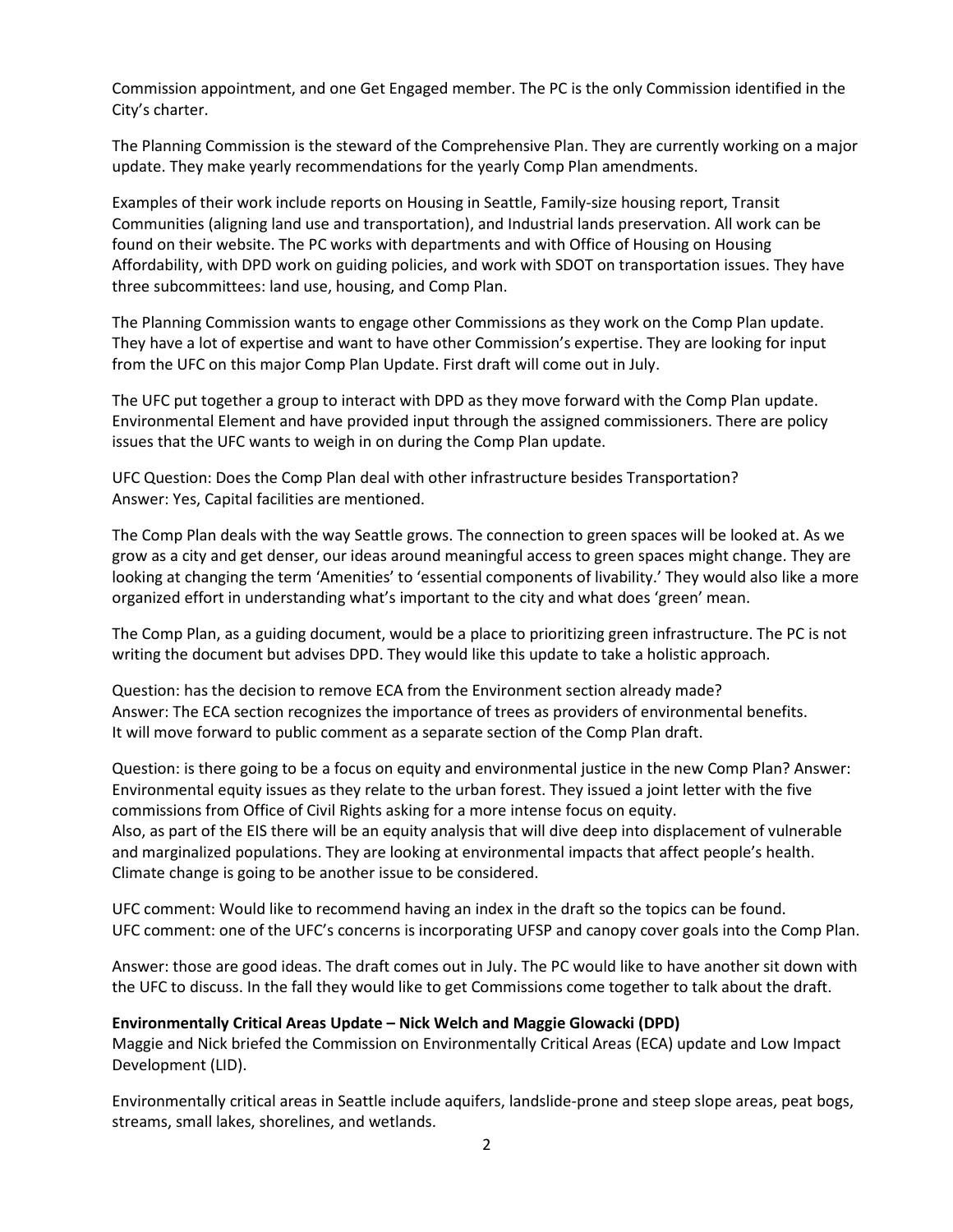Commission appointment, and one Get Engaged member. The PC is the only Commission identified in the City's charter.

The Planning Commission is the steward of the Comprehensive Plan. They are currently working on a major update. They make yearly recommendations for the yearly Comp Plan amendments.

Examples of their work include reports on Housing in Seattle, Family-size housing report, Transit Communities (aligning land use and transportation), and Industrial lands preservation. All work can be found on their website. The PC works with departments and with Office of Housing on Housing Affordability, with DPD work on guiding policies, and work with SDOT on transportation issues. They have three subcommittees: land use, housing, and Comp Plan.

The Planning Commission wants to engage other Commissions as they work on the Comp Plan update. They have a lot of expertise and want to have other Commission's expertise. They are looking for input from the UFC on this major Comp Plan Update. First draft will come out in July.

The UFC put together a group to interact with DPD as they move forward with the Comp Plan update. Environmental Element and have provided input through the assigned commissioners. There are policy issues that the UFC wants to weigh in on during the Comp Plan update.

UFC Question: Does the Comp Plan deal with other infrastructure besides Transportation? Answer: Yes, Capital facilities are mentioned.

The Comp Plan deals with the way Seattle grows. The connection to green spaces will be looked at. As we grow as a city and get denser, our ideas around meaningful access to green spaces might change. They are looking at changing the term 'Amenities' to 'essential components of livability.' They would also like a more organized effort in understanding what's important to the city and what does 'green' mean.

The Comp Plan, as a guiding document, would be a place to prioritizing green infrastructure. The PC is not writing the document but advises DPD. They would like this update to take a holistic approach.

Question: has the decision to remove ECA from the Environment section already made? Answer: The ECA section recognizes the importance of trees as providers of environmental benefits. It will move forward to public comment as a separate section of the Comp Plan draft.

Question: is there going to be a focus on equity and environmental justice in the new Comp Plan? Answer: Environmental equity issues as they relate to the urban forest. They issued a joint letter with the five commissions from Office of Civil Rights asking for a more intense focus on equity. Also, as part of the EIS there will be an equity analysis that will dive deep into displacement of vulnerable and marginalized populations. They are looking at environmental impacts that affect people's health. Climate change is going to be another issue to be considered.

UFC comment: Would like to recommend having an index in the draft so the topics can be found. UFC comment: one of the UFC's concerns is incorporating UFSP and canopy cover goals into the Comp Plan.

Answer: those are good ideas. The draft comes out in July. The PC would like to have another sit down with the UFC to discuss. In the fall they would like to get Commissions come together to talk about the draft.

#### **Environmentally Critical Areas Update – Nick Welch and Maggie Glowacki (DPD)**

Maggie and Nick briefed the Commission on Environmentally Critical Areas (ECA) update and Low Impact Development (LID).

Environmentally critical areas in Seattle include aquifers, landslide-prone and steep slope areas, peat bogs, streams, small lakes, shorelines, and wetlands.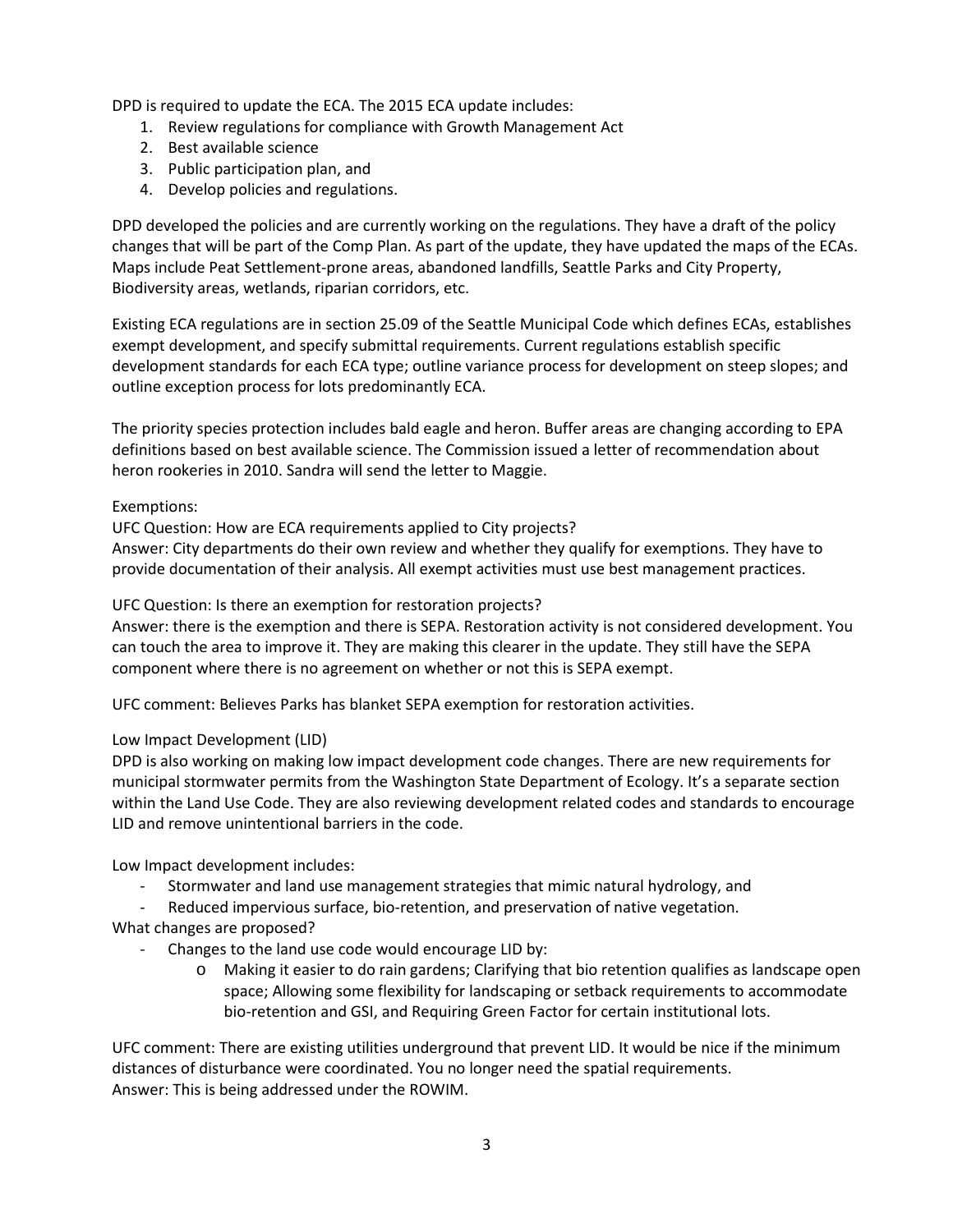DPD is required to update the ECA. The 2015 ECA update includes:

- 1. Review regulations for compliance with Growth Management Act
- 2. Best available science
- 3. Public participation plan, and
- 4. Develop policies and regulations.

DPD developed the policies and are currently working on the regulations. They have a draft of the policy changes that will be part of the Comp Plan. As part of the update, they have updated the maps of the ECAs. Maps include Peat Settlement-prone areas, abandoned landfills, Seattle Parks and City Property, Biodiversity areas, wetlands, riparian corridors, etc.

Existing ECA regulations are in section 25.09 of the Seattle Municipal Code which defines ECAs, establishes exempt development, and specify submittal requirements. Current regulations establish specific development standards for each ECA type; outline variance process for development on steep slopes; and outline exception process for lots predominantly ECA.

The priority species protection includes bald eagle and heron. Buffer areas are changing according to EPA definitions based on best available science. The Commission issued a letter of recommendation about heron rookeries in 2010. Sandra will send the letter to Maggie.

#### Exemptions:

UFC Question: How are ECA requirements applied to City projects?

Answer: City departments do their own review and whether they qualify for exemptions. They have to provide documentation of their analysis. All exempt activities must use best management practices.

UFC Question: Is there an exemption for restoration projects?

Answer: there is the exemption and there is SEPA. Restoration activity is not considered development. You can touch the area to improve it. They are making this clearer in the update. They still have the SEPA component where there is no agreement on whether or not this is SEPA exempt.

UFC comment: Believes Parks has blanket SEPA exemption for restoration activities.

#### Low Impact Development (LID)

DPD is also working on making low impact development code changes. There are new requirements for municipal stormwater permits from the Washington State Department of Ecology. It's a separate section within the Land Use Code. They are also reviewing development related codes and standards to encourage LID and remove unintentional barriers in the code.

Low Impact development includes:

- Stormwater and land use management strategies that mimic natural hydrology, and
- Reduced impervious surface, bio-retention, and preservation of native vegetation.

What changes are proposed?

- Changes to the land use code would encourage LID by:
	- o Making it easier to do rain gardens; Clarifying that bio retention qualifies as landscape open space; Allowing some flexibility for landscaping or setback requirements to accommodate bio-retention and GSI, and Requiring Green Factor for certain institutional lots.

UFC comment: There are existing utilities underground that prevent LID. It would be nice if the minimum distances of disturbance were coordinated. You no longer need the spatial requirements. Answer: This is being addressed under the ROWIM.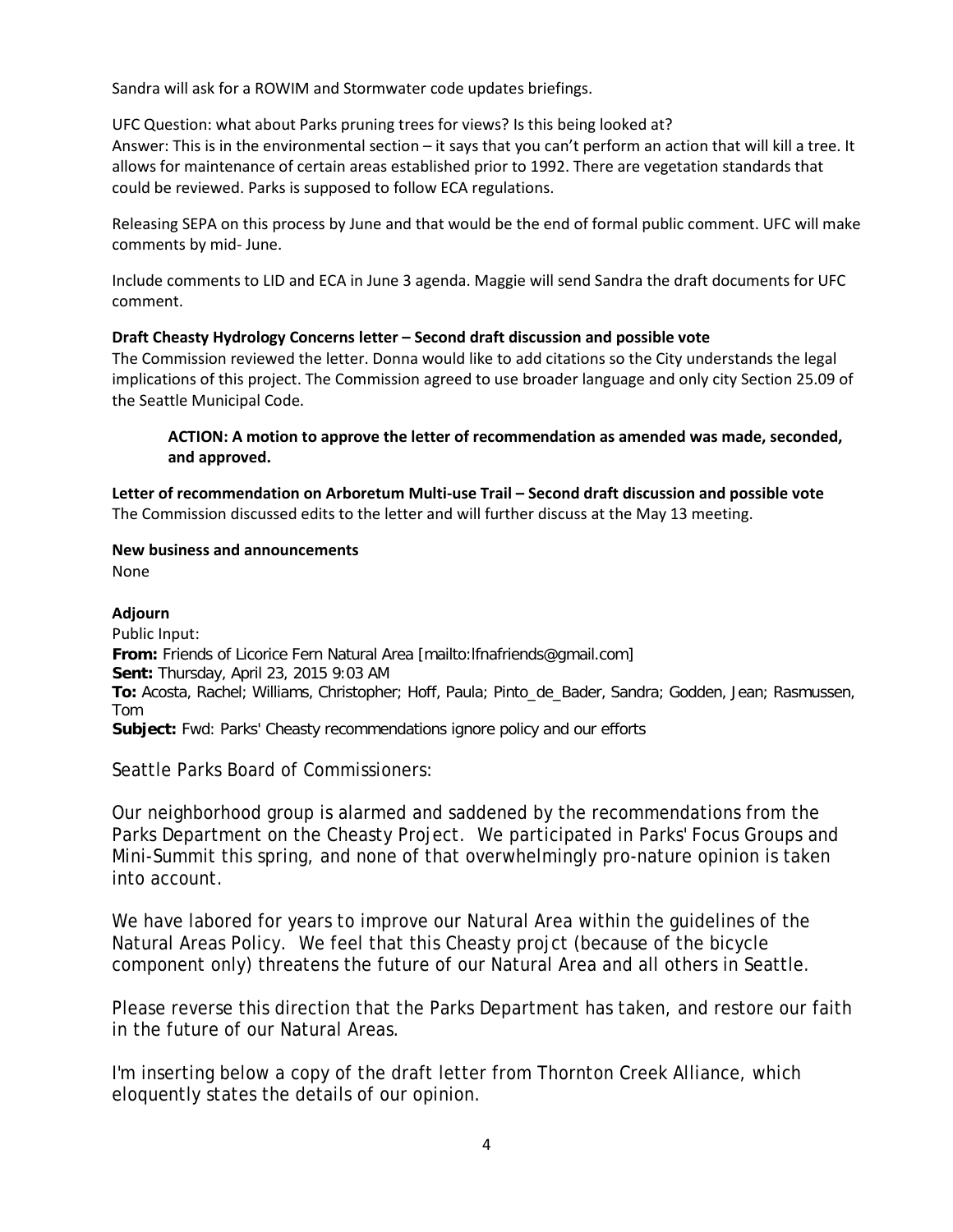Sandra will ask for a ROWIM and Stormwater code updates briefings.

UFC Question: what about Parks pruning trees for views? Is this being looked at? Answer: This is in the environmental section – it says that you can't perform an action that will kill a tree. It allows for maintenance of certain areas established prior to 1992. There are vegetation standards that could be reviewed. Parks is supposed to follow ECA regulations.

Releasing SEPA on this process by June and that would be the end of formal public comment. UFC will make comments by mid- June.

Include comments to LID and ECA in June 3 agenda. Maggie will send Sandra the draft documents for UFC comment.

## **Draft Cheasty Hydrology Concerns letter – Second draft discussion and possible vote**

The Commission reviewed the letter. Donna would like to add citations so the City understands the legal implications of this project. The Commission agreed to use broader language and only city Section 25.09 of the Seattle Municipal Code.

## **ACTION: A motion to approve the letter of recommendation as amended was made, seconded, and approved.**

**Letter of recommendation on Arboretum Multi-use Trail – Second draft discussion and possible vote** The Commission discussed edits to the letter and will further discuss at the May 13 meeting.

# **New business and announcements**

None

## **Adjourn**

Public Input: **From:** Friends of Licorice Fern Natural Area [mailto:lfnafriends@gmail.com] **Sent:** Thursday, April 23, 2015 9:03 AM **To:** Acosta, Rachel; Williams, Christopher; Hoff, Paula; Pinto\_de\_Bader, Sandra; Godden, Jean; Rasmussen, Tom **Subject:** Fwd: Parks' Cheasty recommendations ignore policy and our efforts

Seattle Parks Board of Commissioners:

Our neighborhood group is alarmed and saddened by the recommendations from the Parks Department on the Cheasty Project. We participated in Parks' Focus Groups and Mini-Summit this spring, and none of that overwhelmingly pro-nature opinion is taken into account.

We have labored for years to improve our Natural Area within the guidelines of the Natural Areas Policy. We feel that this Cheasty projct (because of the bicycle component only) threatens the future of our Natural Area and all others in Seattle.

Please reverse this direction that the Parks Department has taken, and restore our faith in the future of our Natural Areas.

I'm inserting below a copy of the draft letter from Thornton Creek Alliance, which eloquently states the details of our opinion.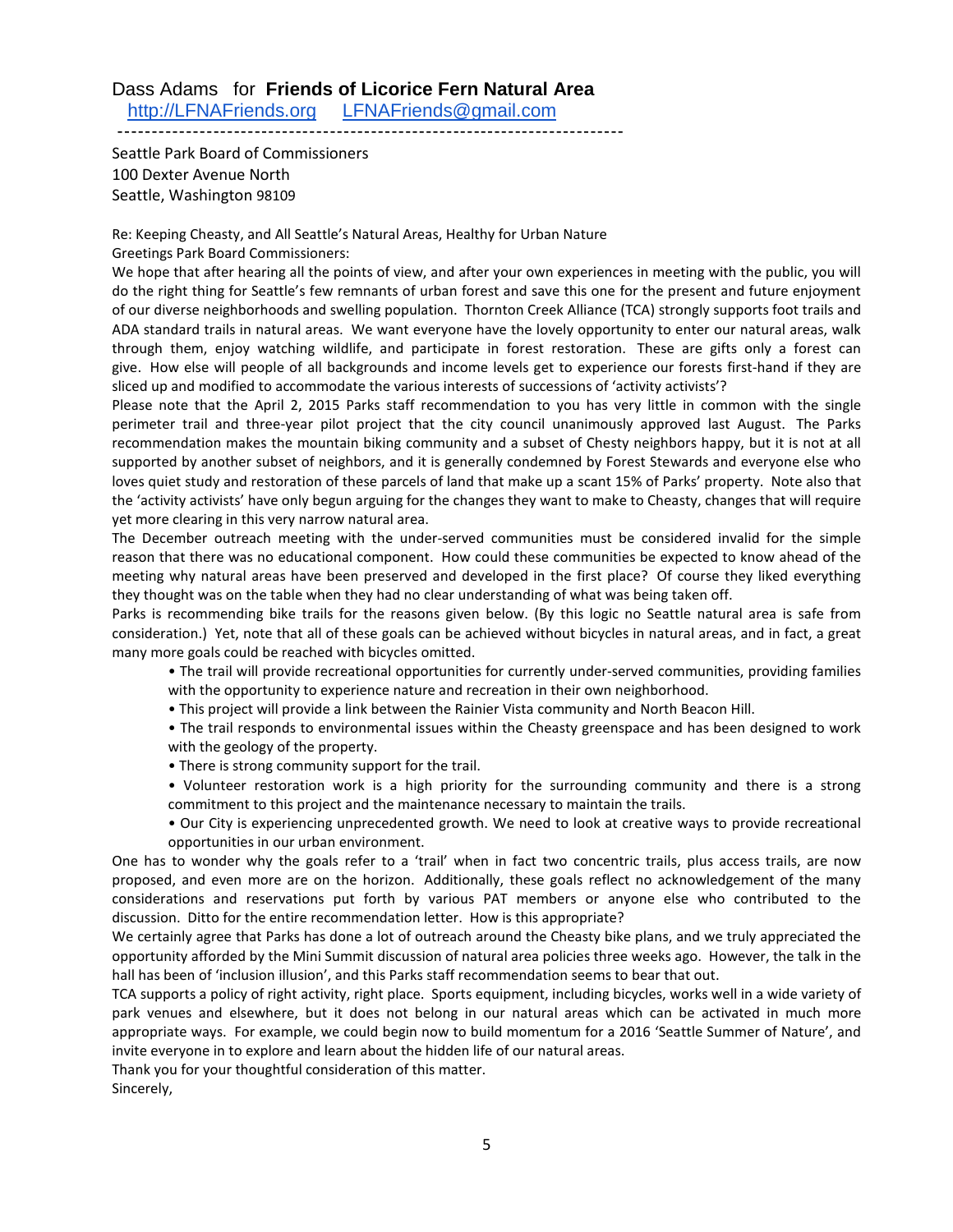## Dass Adams for **Friends of Licorice Fern Natural Area** [http://LFNAFriends.org](http://lfnafriends.org/) [LFNAFriends@gmail.com](mailto:LFNAFriends@gmail.com)

--------------------------------------------------------------------------

Seattle Park Board of Commissioners 100 Dexter Avenue North Seattle, Washington 98109

Re: Keeping Cheasty, and All Seattle's Natural Areas, Healthy for Urban Nature Greetings Park Board Commissioners:

We hope that after hearing all the points of view, and after your own experiences in meeting with the public, you will do the right thing for Seattle's few remnants of urban forest and save this one for the present and future enjoyment of our diverse neighborhoods and swelling population. Thornton Creek Alliance (TCA) strongly supports foot trails and ADA standard trails in natural areas. We want everyone have the lovely opportunity to enter our natural areas, walk through them, enjoy watching wildlife, and participate in forest restoration. These are gifts only a forest can give. How else will people of all backgrounds and income levels get to experience our forests first-hand if they are sliced up and modified to accommodate the various interests of successions of 'activity activists'?

Please note that the April 2, 2015 Parks staff recommendation to you has very little in common with the single perimeter trail and three-year pilot project that the city council unanimously approved last August. The Parks recommendation makes the mountain biking community and a subset of Chesty neighbors happy, but it is not at all supported by another subset of neighbors, and it is generally condemned by Forest Stewards and everyone else who loves quiet study and restoration of these parcels of land that make up a scant 15% of Parks' property. Note also that the 'activity activists' have only begun arguing for the changes they want to make to Cheasty, changes that will require yet more clearing in this very narrow natural area.

The December outreach meeting with the under-served communities must be considered invalid for the simple reason that there was no educational component. How could these communities be expected to know ahead of the meeting why natural areas have been preserved and developed in the first place? Of course they liked everything they thought was on the table when they had no clear understanding of what was being taken off.

Parks is recommending bike trails for the reasons given below. (By this logic no Seattle natural area is safe from consideration.) Yet, note that all of these goals can be achieved without bicycles in natural areas, and in fact, a great many more goals could be reached with bicycles omitted.

- The trail will provide recreational opportunities for currently under-served communities, providing families with the opportunity to experience nature and recreation in their own neighborhood.
- This project will provide a link between the Rainier Vista community and North Beacon Hill.

• The trail responds to environmental issues within the Cheasty greenspace and has been designed to work with the geology of the property.

- There is strong community support for the trail.
- Volunteer restoration work is a high priority for the surrounding community and there is a strong commitment to this project and the maintenance necessary to maintain the trails.
- Our City is experiencing unprecedented growth. We need to look at creative ways to provide recreational opportunities in our urban environment.

One has to wonder why the goals refer to a 'trail' when in fact two concentric trails, plus access trails, are now proposed, and even more are on the horizon. Additionally, these goals reflect no acknowledgement of the many considerations and reservations put forth by various PAT members or anyone else who contributed to the discussion. Ditto for the entire recommendation letter. How is this appropriate?

We certainly agree that Parks has done a lot of outreach around the Cheasty bike plans, and we truly appreciated the opportunity afforded by the Mini Summit discussion of natural area policies three weeks ago. However, the talk in the hall has been of 'inclusion illusion', and this Parks staff recommendation seems to bear that out.

TCA supports a policy of right activity, right place. Sports equipment, including bicycles, works well in a wide variety of park venues and elsewhere, but it does not belong in our natural areas which can be activated in much more appropriate ways. For example, we could begin now to build momentum for a 2016 'Seattle Summer of Nature', and invite everyone in to explore and learn about the hidden life of our natural areas.

Thank you for your thoughtful consideration of this matter.

Sincerely,